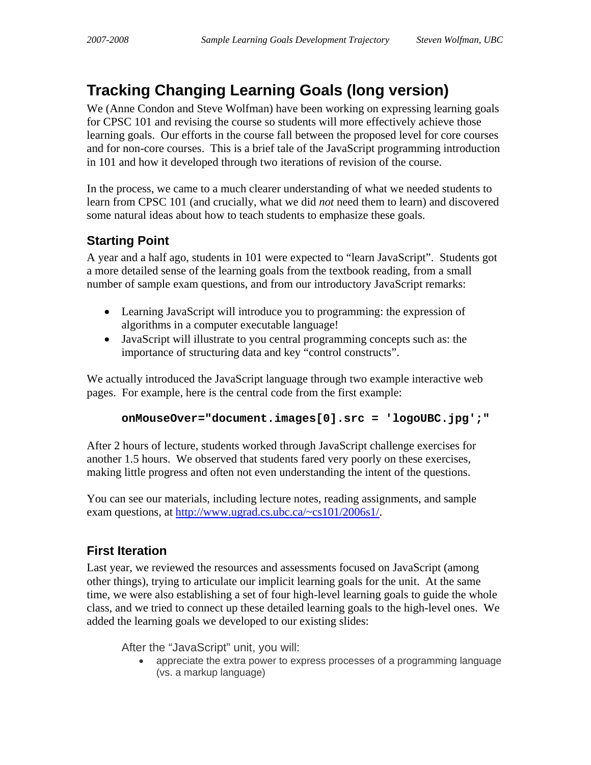## **Tracking Changing Learning Goals (long version)**

We (Anne Condon and Steve Wolfman) have been working on expressing learning goals for CPSC 101 and revising the course so students will more effectively achieve those learning goals. Our efforts in the course fall between the proposed level for core courses and for non-core courses. This is a brief tale of the JavaScript programming introduction in 101 and how it developed through two iterations of revision of the course.

In the process, we came to a much clearer understanding of what we needed students to learn from CPSC 101 (and crucially, what we did *not* need them to learn) and discovered some natural ideas about how to teach students to emphasize these goals.

## **Starting Point**

A year and a half ago, students in 101 were expected to "learn JavaScript". Students got a more detailed sense of the learning goals from the textbook reading, from a small number of sample exam questions, and from our introductory JavaScript remarks:

- Learning JavaScript will introduce you to programming: the expression of algorithms in a computer executable language!
- JavaScript will illustrate to you central programming concepts such as: the importance of structuring data and key "control constructs".

We actually introduced the JavaScript language through two example interactive web pages. For example, here is the central code from the first example:

```
onMouseOver="document.images[0].src = 'logoUBC.jpg';"
```
After 2 hours of lecture, students worked through JavaScript challenge exercises for another 1.5 hours. We observed that students fared very poorly on these exercises, making little progress and often not even understanding the intent of the questions.

You can see our materials, including lecture notes, reading assignments, and sample exam questions, at [http://www.ugrad.cs.ubc.ca/~cs101/2006s1/](http://www.ugrad.cs.ubc.ca/%7Ecs101/2006s1/).

## **First Iteration**

Last year, we reviewed the resources and assessments focused on JavaScript (among other things), trying to articulate our implicit learning goals for the unit. At the same time, we were also establishing a set of four high-level learning goals to guide the whole class, and we tried to connect up these detailed learning goals to the high-level ones. We added the learning goals we developed to our existing slides:

After the "JavaScript" unit, you will:

• appreciate the extra power to express processes of a programming language (vs. a markup language)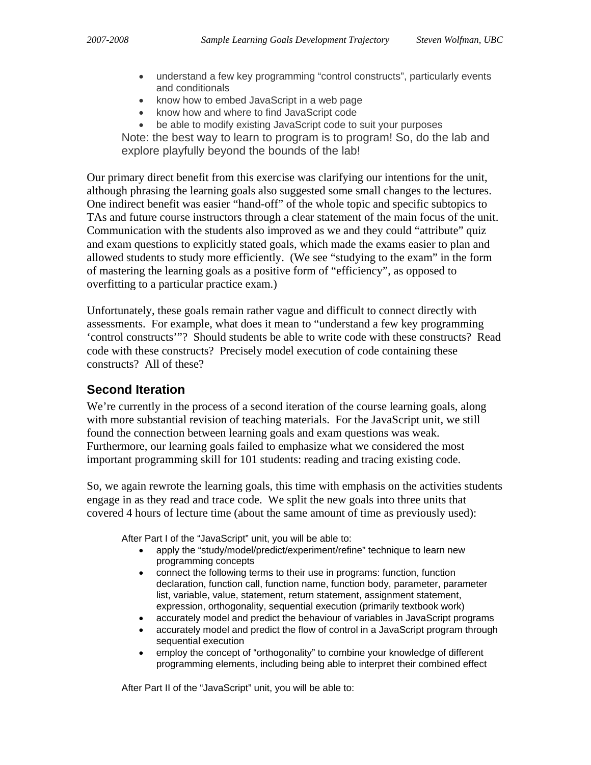- understand a few key programming "control constructs", particularly events and conditionals
- know how to embed JavaScript in a web page
- know how and where to find JavaScript code
- be able to modify existing JavaScript code to suit your purposes

Note: the best way to learn to program is to program! So, do the lab and explore playfully beyond the bounds of the lab!

Our primary direct benefit from this exercise was clarifying our intentions for the unit, although phrasing the learning goals also suggested some small changes to the lectures. One indirect benefit was easier "hand-off" of the whole topic and specific subtopics to TAs and future course instructors through a clear statement of the main focus of the unit. Communication with the students also improved as we and they could "attribute" quiz and exam questions to explicitly stated goals, which made the exams easier to plan and allowed students to study more efficiently. (We see "studying to the exam" in the form of mastering the learning goals as a positive form of "efficiency", as opposed to overfitting to a particular practice exam.)

Unfortunately, these goals remain rather vague and difficult to connect directly with assessments. For example, what does it mean to "understand a few key programming 'control constructs'"? Should students be able to write code with these constructs? Read code with these constructs? Precisely model execution of code containing these constructs? All of these?

## **Second Iteration**

We're currently in the process of a second iteration of the course learning goals, along with more substantial revision of teaching materials. For the JavaScript unit, we still found the connection between learning goals and exam questions was weak. Furthermore, our learning goals failed to emphasize what we considered the most important programming skill for 101 students: reading and tracing existing code.

So, we again rewrote the learning goals, this time with emphasis on the activities students engage in as they read and trace code. We split the new goals into three units that covered 4 hours of lecture time (about the same amount of time as previously used):

After Part I of the "JavaScript" unit, you will be able to:

- apply the "study/model/predict/experiment/refine" technique to learn new programming concepts
- connect the following terms to their use in programs: function, function declaration, function call, function name, function body, parameter, parameter list, variable, value, statement, return statement, assignment statement, expression, orthogonality, sequential execution (primarily textbook work)
- accurately model and predict the behaviour of variables in JavaScript programs
- accurately model and predict the flow of control in a JavaScript program through sequential execution
- employ the concept of "orthogonality" to combine your knowledge of different programming elements, including being able to interpret their combined effect

After Part II of the "JavaScript" unit, you will be able to: